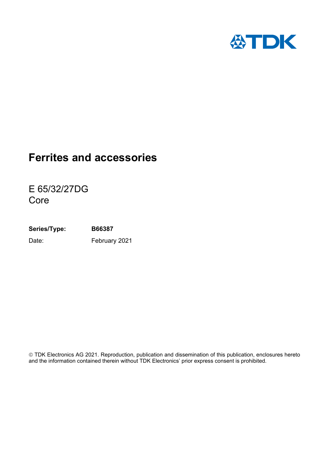

E 65/32/27DG Core

**Series/Type: B66387** Date: February 2021

© TDK Electronics AG 2021. Reproduction, publication and dissemination of this publication, enclosures hereto and the information contained therein without TDK Electronics' prior express consent is prohibited.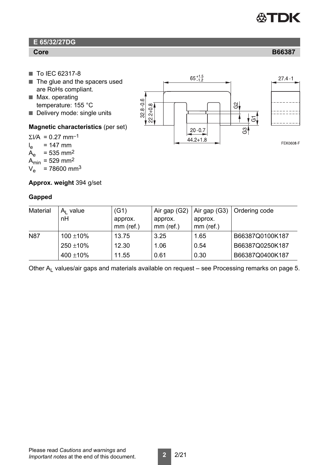

## **E 65/32/27DG**

- To IEC 62317-8
- $\blacksquare$  The glue and the spacers used are RoHs compliant.
- $\blacksquare$  Max. operating temperature: 155 °C
- Delivery mode: single units

#### **Magnetic characteristics** (per set)

 $\Sigma$ *VA* = 0.27 mm<sup>-1</sup>  $l_e$  $I_e$  = 147 mm<br> $A_e$  = 535 mm<sup>2</sup>  $= 535$  mm<sup>2</sup>  $A_{\text{min}} = 529 \text{ mm}^2$  $V_e$  = 78600 mm<sup>3</sup>



**Approx. weight** 394 g/set

#### **Gapped**

| Material   | $A1$ value<br>nH | (G1)<br>approx.<br>$mm$ (ref.) | Air gap (G2)<br>approx.<br>$mm$ (ref.) | Air gap (G3)<br>approx.<br>$mm$ (ref.) | Ordering code   |
|------------|------------------|--------------------------------|----------------------------------------|----------------------------------------|-----------------|
| <b>N87</b> | $100 \pm 10\%$   | 13.75                          | 3.25                                   | 1.65                                   | B66387Q0100K187 |
|            | $250 \pm 10\%$   | 12.30                          | 1.06                                   | 0.54                                   | B66387Q0250K187 |
|            | $400 \pm 10\%$   | 11.55                          | 0.61                                   | 0.30                                   | B66387Q0400K187 |

Other  $A_1$  values/air gaps and materials available on request – see [Processing remarks on page 5.](#page-4-0)

## **Core B66387**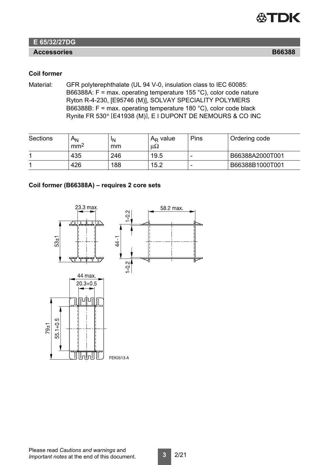

## **E 65/32/27DG**

### **Accessories**

#### **Coil former**

Material: GFR polyterephthalate (UL 94 V-0, insulation class to IEC 60085: B66388A: F = max. operating temperature 155 °C), color code nature Ryton R-4-230, [E95746 (M)], SOLVAY SPECIALITY POLYMERS B66388B: F = max. operating temperature 180 °C), color code black Rynite FR 530® [E41938 (M)], E I DUPONT DE NEMOURS & CO INC

| Sections | $A_{N}$<br>mm <sup>2</sup> | ١N<br>mm | $A_R$ value<br>μ $Ω$ | Pins | Ordering code   |
|----------|----------------------------|----------|----------------------|------|-----------------|
|          | 435                        | 246      | 19.5                 |      | B66388A2000T001 |
|          | 426                        | 188      | 15.2                 |      | B66388B1000T001 |

#### **Coil former (B66388A) – requires 2 core sets**



Please read *Cautions and warnings* and *Important notes* at the end of this document.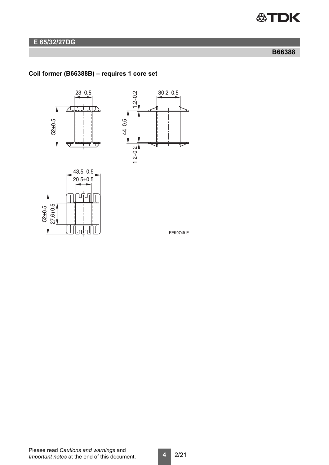

## **E 65/32/27DG**

### **B66388**

## **Coil former (B66388B) – requires 1 core set**







FEK0749-E

Please read *Cautions and warnings* and *Important notes* at the end of this document.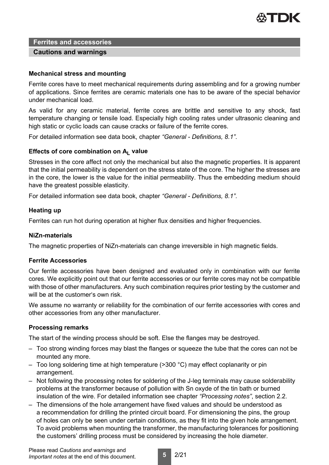

#### **Cautions and warnings**

#### **Mechanical stress and mounting**

Ferrite cores have to meet mechanical requirements during assembling and for a growing number of applications. Since ferrites are ceramic materials one has to be aware of the special behavior under mechanical load.

As valid for any ceramic material, ferrite cores are brittle and sensitive to any shock, fast temperature changing or tensile load. Especially high cooling rates under ultrasonic cleaning and high static or cyclic loads can cause cracks or failure of the ferrite cores.

For detailed information see data book, chapter *"General - Definitions, 8.1"*.

#### Effects of core combination on A<sub>L</sub> value

Stresses in the core affect not only the mechanical but also the magnetic properties. It is apparent that the initial permeability is dependent on the stress state of the core. The higher the stresses are in the core, the lower is the value for the initial permeability. Thus the embedding medium should have the greatest possible elasticity.

For detailed information see data book, chapter *"General - Definitions, 8.1"*.

#### **Heating up**

Ferrites can run hot during operation at higher flux densities and higher frequencies.

#### **NiZn-materials**

The magnetic properties of NiZn-materials can change irreversible in high magnetic fields.

#### **Ferrite Accessories**

Our ferrite accessories have been designed and evaluated only in combination with our ferrite cores. We explicitly point out that our ferrite accessories or our ferrite cores may not be compatible with those of other manufacturers. Any such combination requires prior testing by the customer and will be at the customer's own risk.

We assume no warranty or reliability for the combination of our ferrite accessories with cores and other accessories from any other manufacturer.

#### <span id="page-4-0"></span>**Processing remarks**

The start of the winding process should be soft. Else the flanges may be destroyed.

- Too strong winding forces may blast the flanges or squeeze the tube that the cores can not be mounted any more.
- Too long soldering time at high temperature ( $>$ 300 °C) may effect coplanarity or pin arrangement.
- Not following the processing notes for soldering of the J-leg terminals may cause solderability problems at the transformer because of pollution with Sn oxyde of the tin bath or burned insulation of the wire. For detailed information see chapter *"Processing notes"*, section 2.2.
- The dimensions of the hole arrangement have fixed values and should be understood as a recommendation for drilling the printed circuit board. For dimensioning the pins, the group of holes can only be seen under certain conditions, as they fit into the given hole arrangement. To avoid problems when mounting the transformer, the manufacturing tolerances for positioning the customers' drilling process must be considered by increasing the hole diameter.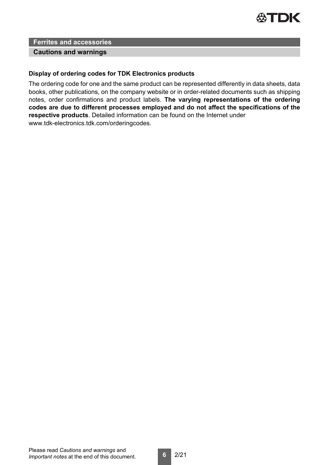

#### **Cautions and warnings**

#### **Display of ordering codes for TDK Electronics products**

The ordering code for one and the same product can be represented differently in data sheets, data books, other publications, on the company website or in order-related documents such as shipping notes, order confirmations and product labels. **The varying representations of the ordering codes are due to different processes employed and do not affect the specifications of the respective products**. Detailed information can be found on the Internet under www.tdk-electronics.tdk.com/orderingcodes.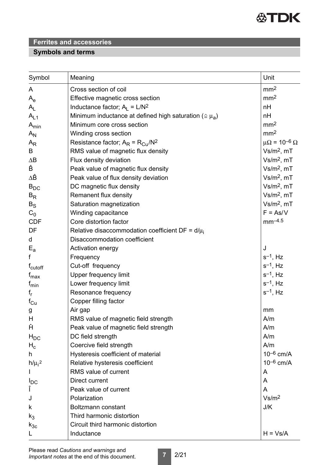

## **Symbols and terms**

| Symbol                    | Meaning                                                           | Unit                                    |
|---------------------------|-------------------------------------------------------------------|-----------------------------------------|
| A                         | Cross section of coil                                             | mm <sup>2</sup>                         |
| $\mathsf{A}_{\mathsf{e}}$ | Effective magnetic cross section                                  | mm <sup>2</sup>                         |
| $A_{L}$                   | Inductance factor; $A_L = L/N^2$                                  | nH                                      |
| $A_{L1}$                  | Minimum inductance at defined high saturation ( $\approx \mu_a$ ) | nH                                      |
| $A_{min}$                 | Minimum core cross section                                        | mm <sup>2</sup>                         |
| $A_N$                     | Winding cross section                                             | mm <sup>2</sup>                         |
| $A_{R}$                   | Resistance factor; $A_R = R_{Cu}/N^2$                             | $\mu\Omega$ = 10 <sup>-6</sup> $\Omega$ |
| B                         | RMS value of magnetic flux density                                | $Vs/m2$ , mT                            |
| $\Delta B$                | Flux density deviation                                            | $Vs/m2$ , mT                            |
| Ê                         | Peak value of magnetic flux density                               | $Vs/m2$ , mT                            |
| ΔÊ                        | Peak value of flux density deviation                              | $Vs/m2$ , mT                            |
| $B_{DC}$                  | DC magnetic flux density                                          | $Vs/m2$ , mT                            |
| $B_R$                     | Remanent flux density                                             | $Vs/m2$ , mT                            |
| $B_{\rm S}$               | Saturation magnetization                                          | $Vs/m2$ , mT                            |
| $C_0$                     | Winding capacitance                                               | $F = As/V$                              |
| <b>CDF</b>                | Core distortion factor                                            | $mm^{-4.5}$                             |
| DF                        | Relative disaccommodation coefficient DF = $d/\mu_i$              |                                         |
| d                         | Disaccommodation coefficient                                      |                                         |
| $E_{a}$                   | Activation energy                                                 | J                                       |
| f                         | Frequency                                                         | $s^{-1}$ , Hz                           |
| f <sub>cutoff</sub>       | Cut-off frequency                                                 | $s^{-1}$ , Hz                           |
| $f_{\text{max}}$          | <b>Upper frequency limit</b>                                      | $s^{-1}$ , Hz                           |
| $f_{min}$                 | Lower frequency limit                                             | $s^{-1}$ , Hz                           |
| $f_r$                     | Resonance frequency                                               | $s^{-1}$ , Hz                           |
| $f_{\rm Cu}$              | Copper filling factor                                             |                                         |
| g                         | Air gap                                                           | mm                                      |
| H                         | RMS value of magnetic field strength                              | A/m                                     |
| Ĥ                         | Peak value of magnetic field strength                             | A/m                                     |
| $H_{DC}$                  | DC field strength                                                 | A/m                                     |
| $H_c$                     | Coercive field strength                                           | A/m                                     |
| h                         | Hysteresis coefficient of material                                | $10^{-6}$ cm/A                          |
| $h/\mu_{i}^{2}$           | Relative hysteresis coefficient                                   | $10^{-6}$ cm/A                          |
|                           | RMS value of current                                              | A                                       |
| $I_{DC}$                  | Direct current                                                    | A                                       |
| Î                         | Peak value of current                                             | A                                       |
| J                         | Polarization                                                      | Vs/m <sup>2</sup>                       |
| k                         | Boltzmann constant                                                | J/K                                     |
| $k_3$                     | Third harmonic distortion                                         |                                         |
| $k_{3c}$                  | Circuit third harmonic distortion                                 |                                         |
| L                         | Inductance                                                        | $H = Vs/A$                              |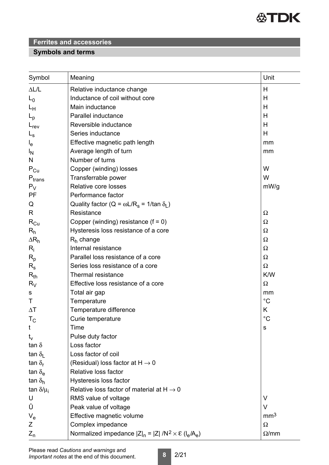

## **Symbols and terms**

| Symbol                    | Meaning                                                                 | Unit            |
|---------------------------|-------------------------------------------------------------------------|-----------------|
| $\Delta L/L$              | Relative inductance change                                              | Н               |
| $L_0$                     | Inductance of coil without core                                         | Н               |
| Lн                        | Main inductance                                                         | Н               |
| $L_{\rm p}$               | Parallel inductance                                                     | Н               |
| $L_{rev}$                 | Reversible inductance                                                   | Н               |
| $L_{\rm S}$               | Series inductance                                                       | H               |
| $I_{e}$                   | Effective magnetic path length                                          | mm              |
| ΙŅ                        | Average length of turn                                                  | mm              |
| N                         | Number of turns                                                         |                 |
| $P_{Cu}$                  | Copper (winding) losses                                                 | W               |
| $P_{trans}$               | Transferrable power                                                     | W               |
| $P_V$                     | Relative core losses                                                    | mW/g            |
| PF                        | Performance factor                                                      |                 |
| Q                         | Quality factor ( $Q = \omega L/R_s = 1/tan \delta_l$ )                  |                 |
| R                         | Resistance                                                              | Ω               |
| $R_{Cu}$                  | Copper (winding) resistance $(f = 0)$                                   | Ω               |
| $R_h$                     | Hysteresis loss resistance of a core                                    | Ω               |
| $\Delta R_h$              | $Rh$ change                                                             | Ω               |
| $R_i$                     | Internal resistance                                                     | Ω               |
| $R_{p}$                   | Parallel loss resistance of a core                                      | Ω               |
| $R_{\rm s}$               | Series loss resistance of a core                                        | $\Omega$        |
| $R_{th}$                  | Thermal resistance                                                      | K/W             |
| $R_V$                     | Effective loss resistance of a core                                     | Ω               |
| s                         | Total air gap                                                           | mm              |
| Τ                         | Temperature                                                             | $^{\circ}C$     |
| $\Delta T$                | Temperature difference                                                  | Κ               |
| $T_{\rm C}$               | Curie temperature                                                       | $^{\circ}C$     |
| t                         | Time                                                                    | S               |
| $t_{\rm v}$               | Pulse duty factor                                                       |                 |
| tan $\delta$              | Loss factor                                                             |                 |
| tan $\delta_{\rm I}$      | Loss factor of coil                                                     |                 |
| tan $\delta_{\rm r}$      | (Residual) loss factor at $H \rightarrow 0$                             |                 |
| tan $\delta_{\mathsf{e}}$ | Relative loss factor                                                    |                 |
| tan $\delta_h$            | Hysteresis loss factor                                                  |                 |
| tan $\delta/\mu_i$        | Relative loss factor of material at $H \rightarrow 0$                   |                 |
| U                         | RMS value of voltage                                                    | $\vee$          |
| Û                         | Peak value of voltage                                                   | $\vee$          |
| $V_{e}$                   | Effective magnetic volume                                               | mm <sup>3</sup> |
| Ζ                         | Complex impedance                                                       | $\Omega$        |
| $Z_{n}$                   | Normalized impedance $ Z _n =  Z  / N^2 \times \mathcal{E} (I_e / A_e)$ | $\Omega$ /mm    |

**8** 2/21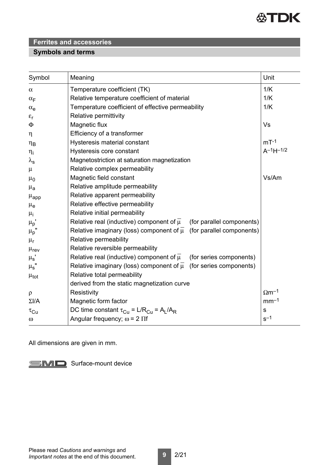

## **Symbols and terms**

| Symbol                | Meaning                                                                              | Unit                     |
|-----------------------|--------------------------------------------------------------------------------------|--------------------------|
| $\alpha$              | Temperature coefficient (TK)                                                         | 1/K                      |
| $\alpha_F$            | Relative temperature coefficient of material                                         | 1/K                      |
| $\alpha_e$            | Temperature coefficient of effective permeability                                    | 1/K                      |
| $\varepsilon_{\rm r}$ | Relative permittivity                                                                |                          |
| Φ                     | Magnetic flux                                                                        | Vs                       |
| $\eta$                | Efficiency of a transformer                                                          |                          |
| $\eta_B$              | Hysteresis material constant                                                         | $mT-1$                   |
| $\eta_i$              | Hysteresis core constant                                                             | $A^{-1}H^{-1/2}$         |
| $\lambda_{\text{s}}$  | Magnetostriction at saturation magnetization                                         |                          |
| $\mu$                 | Relative complex permeability                                                        |                          |
| $\mu_0$               | Magnetic field constant                                                              | Vs/Am                    |
| $\mu_{a}$             | Relative amplitude permeability                                                      |                          |
| $\mu_{\rm app}$       | Relative apparent permeability                                                       |                          |
| $\mu_{e}$             | Relative effective permeability                                                      |                          |
| $\mu_i$               | Relative initial permeability                                                        |                          |
| $\mu_p$ '             | Relative real (inductive) component of $\overline{\mu}$<br>(for parallel components) |                          |
| $\mu_p$ '             | Relative imaginary (loss) component of $\overline{\mu}$<br>(for parallel components) |                          |
| $\mu_r$               | Relative permeability                                                                |                          |
| $\mu_{\text{rev}}$    | Relative reversible permeability                                                     |                          |
| $\mu_{\rm s}$         | Relative real (inductive) component of $\overline{\mu}$<br>(for series components)   |                          |
| $\mu_{\text{s}}$ "    | Relative imaginary (loss) component of $\overline{\mu}$ (for series components)      |                          |
| $\mu_{\text{tot}}$    | Relative total permeability                                                          |                          |
|                       | derived from the static magnetization curve                                          |                          |
| $\rho$                | Resistivity                                                                          | $\Omega$ m <sup>-1</sup> |
| $\Sigma I/A$          | Magnetic form factor                                                                 | $mm-1$                   |
| $\tau_{\text{Cu}}$    | DC time constant $\tau_{Cu} = L/R_{Cu} = A_L/A_R$                                    | $\mathbf S$              |
| $\omega$              | Angular frequency; $\omega$ = 2 $\Pi$ f                                              | $s-1$                    |

All dimensions are given in mm.

Surface-mount device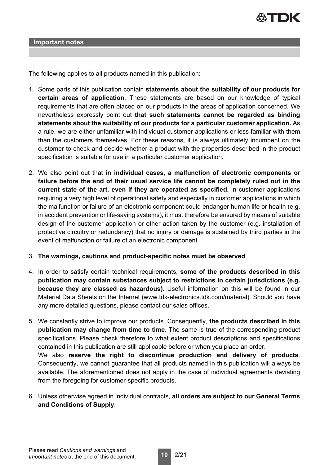

#### **Important notes**

The following applies to all products named in this publication:

- 1. Some parts of this publication contain **statements about the suitability of our products for certain areas of application**. These statements are based on our knowledge of typical requirements that are often placed on our products in the areas of application concerned. We nevertheless expressly point out **that such statements cannot be regarded as binding statements about the suitability of our products for a particular customer application.** As a rule, we are either unfamiliar with individual customer applications or less familiar with them than the customers themselves. For these reasons, it is always ultimately incumbent on the customer to check and decide whether a product with the properties described in the product specification is suitable for use in a particular customer application.
- 2. We also point out that **in individual cases, a malfunction of electronic components or failure before the end of their usual service life cannot be completely ruled out in the current state of the art, even if they are operated as specified.** In customer applications requiring a very high level of operational safety and especially in customer applications in which the malfunction or failure of an electronic component could endanger human life or health (e.g. in accident prevention or life-saving systems), it must therefore be ensured by means of suitable design of the customer application or other action taken by the customer (e.g. installation of protective circuitry or redundancy) that no injury or damage is sustained by third parties in the event of malfunction or failure of an electronic component.
- 3. **The warnings, cautions and product-specific notes must be observed**.
- 4. In order to satisfy certain technical requirements, **some of the products described in this publication may contain substances subject to restrictions in certain jurisdictions (e.g. because they are classed as hazardous)**. Useful information on this will be found in our Material Data Sheets on the Internet (www.tdk-electronics.tdk.com/material). Should you have any more detailed questions, please contact our sales offices.
- 5. We constantly strive to improve our products. Consequently, **the products described in this publication may change from time to time**. The same is true of the corresponding product specifications. Please check therefore to what extent product descriptions and specifications contained in this publication are still applicable before or when you place an order. We also **reserve the right to discontinue production and delivery of products**. Consequently, we cannot guarantee that all products named in this publication will always be available. The aforementioned does not apply in the case of individual agreements deviating from the foregoing for customer-specific products.
- 6. Unless otherwise agreed in individual contracts, **all orders are subject to our General Terms and Conditions of Supply**.